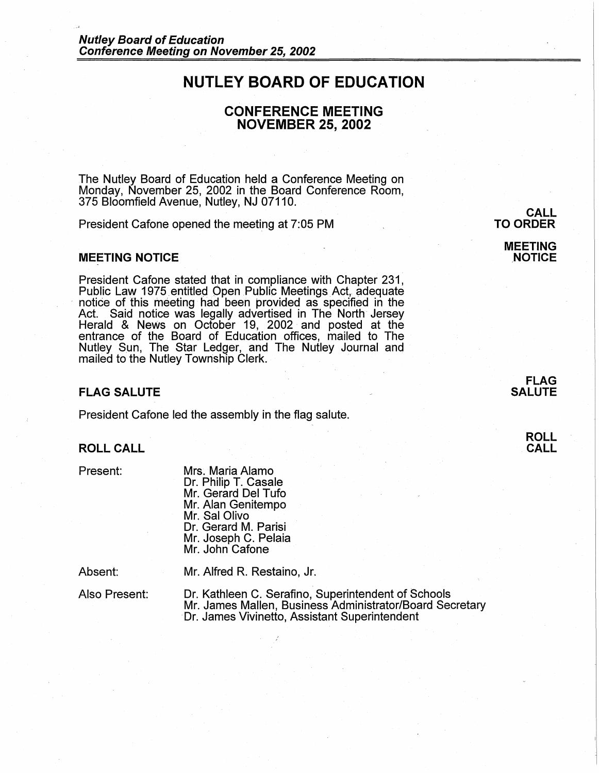# **NUTLEY BOARD OF EDUCATION**

# **CONFERENCE MEETING NOVEMBER 25, 2002**

The Nutley Board of Education held a Conference Meeting on Monday, November 25, 2002 in the Board Conference Room, 375 Bloomfield Avenue, Nutley, NJ 07110.

President Cafone opened the meeting at 7:05 PM

#### **MEETING NOTICE**

President Cafone stated that in compliance with Chapter 231,<br>Public Law 1975 entitled Open Public Meetings Act, adequate notice of this meeting had been provided as specified in the Act. Said notice was legally advertised in The North Jersey Herald & News on October 19, 2002 and posted at the entrance of the Board of Education offices, mailed to The Nutley Sun, The Star Ledger, and The Nutley Journal and mailed to the Nutley Township Clerk.

## **FLAG SALUTE**

President Cafone led the assembly in the flag salute.

# **ROLL CALL**

Present:

Mrs. Maria Alamo Dr. Philip T. Casale Mr. Gerard Del Tufo Mr. Alan Genitempo Mr. Sal Olivo Dr. Gerard M. Parisi Mr. Joseph C. Pelaia Mr. John Cafone

Absent:

Mr. Alfred R. Restaino, Jr.

Also Present:

Dr. Kathleen C. Serafino, Superintendent of Schools Mr. James Mallen, Business Administrator/Board Secretary Dr. James Vivinetto, Assistant Superintendent

**TO ORDER** 

**MEETING NOTICE** 

**CALL** 

**FLAG SALUTE** 

> **ROLL CALL**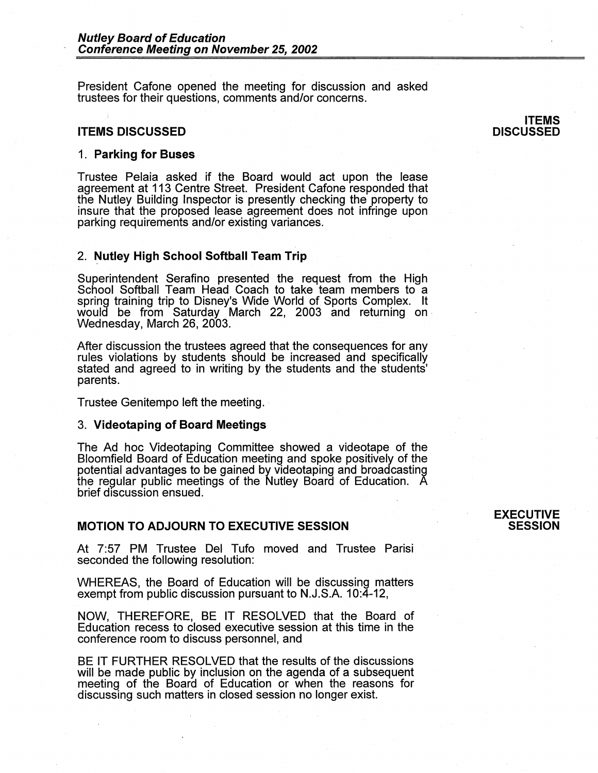President Cafone opened the meeting for discussion and asked trustees for their questions, comments and/or concerns.

#### **ITEMS DISCUSSED**

#### 1. **Parking for Buses**

Trustee Pelaia asked if the. Board would act upon the lease agreement at 113 Centre Street. President Cafone responded that the Nutley Building Inspector is presently checking the property to insure that the proposed lease agreement does not infringe upon parking requirements and/or existing variances.

#### 2. **Nutley High School Softball Team Trip**

Superintendent Serafino presented the request from the High School Softball Team Head Coach to take team members to a spring training trip to Disney's Wide World of Sports Complex. It would be from Saturday March 22, 2003 and returning on .<br>Wednesday, March 26, 2003.

After discussion the trustees agreed that the consequences for any rules violations by students should be increased and specifically stated and agreed to in writing by the students and the students' parents.

Trustee Genitempo left the meeting. -

#### 3. **Videotaping of Board Meetings**

The Ad hoc Videotaping Committee showed a videotape of the Bloomfield Board of Education meeting and spoke positively of the potential advantages to be gained by videotaping and broadcasting the regular public meetings of the Nutley Board of Education. A brief discussion ensued.

## **MOTION TO ADJOURN TO EXECUTIVE SESSION**

At 7:57 PM Trustee Del Tufo moved and Trustee Parisi seconded the following resolution:

WHEREAS, the Board of Education will be discussing matters exempt from public discussion pursuant to N.J.S.A. 10:4-12,

**NOW,** THEREFORE, BE IT RESOLVED that the Board of Education recess to closed executive session at this time in the conference room to discuss personnel, and

BE IT FURTHER RESOLVED that the results of the discussions will be made public by inclusion on the agenda of a subsequent meeting of the Board of Education or when the reasons for discussing such matters in closed session no longer exist.

#### **EXECUTIVE SESSION**

#### **ITEMS DISCUSSED**